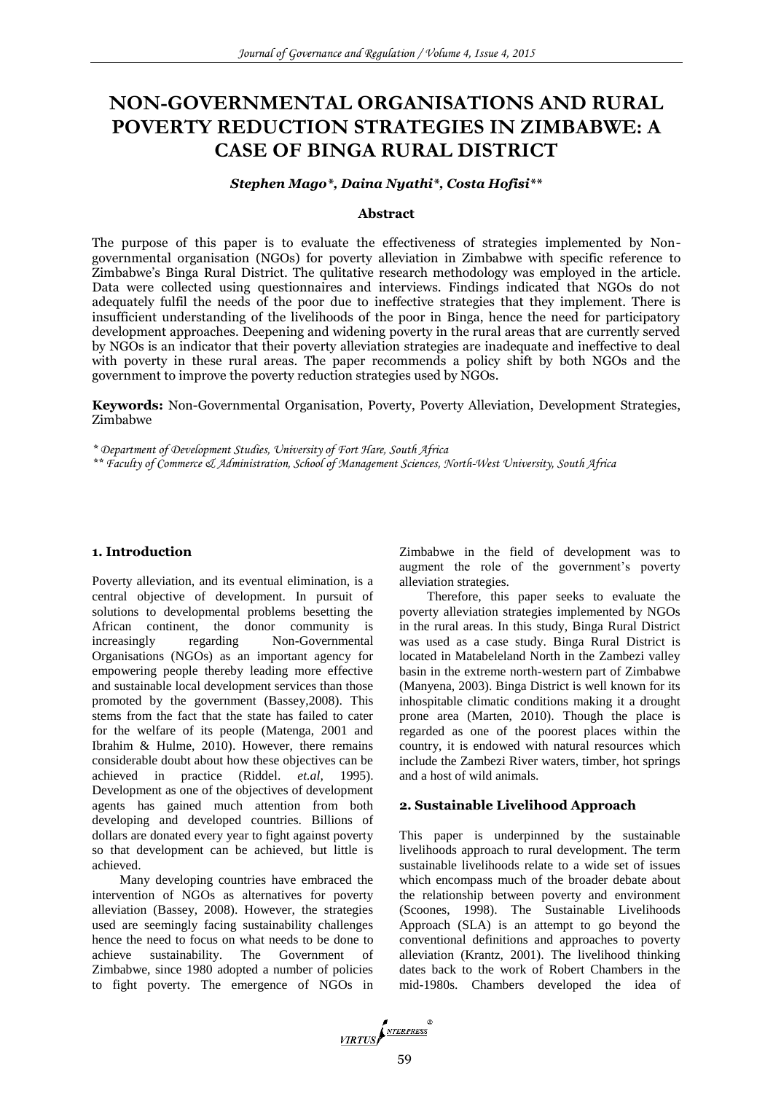# **NON-GOVERNMENTAL ORGANISATIONS AND RURAL POVERTY REDUCTION STRATEGIES IN ZIMBABWE: A CASE OF BINGA RURAL DISTRICT**

#### *Stephen Mago\*, Daina Nyathi\*, Costa Hofisi\*\**

## **Abstract**

The purpose of this paper is to evaluate the effectiveness of strategies implemented by Nongovernmental organisation (NGOs) for poverty alleviation in Zimbabwe with specific reference to Zimbabwe's Binga Rural District. The qulitative research methodology was employed in the article. Data were collected using questionnaires and interviews. Findings indicated that NGOs do not adequately fulfil the needs of the poor due to ineffective strategies that they implement. There is insufficient understanding of the livelihoods of the poor in Binga, hence the need for participatory development approaches. Deepening and widening poverty in the rural areas that are currently served by NGOs is an indicator that their poverty alleviation strategies are inadequate and ineffective to deal with poverty in these rural areas. The paper recommends a policy shift by both NGOs and the government to improve the poverty reduction strategies used by NGOs.

**Keywords:** Non-Governmental Organisation, Poverty, Poverty Alleviation, Development Strategies, Zimbabwe

*\* Department of Development Studies, University of Fort Hare, South Africa*

*\*\* Faculty of Commerce & Administration, School of Management Sciences, North-West University, South Africa*

## **1. Introduction**

Poverty alleviation, and its eventual elimination, is a central objective of development. In pursuit of solutions to developmental problems besetting the African continent, the donor community is increasingly regarding Non-Governmental Organisations (NGOs) as an important agency for empowering people thereby leading more effective and sustainable local development services than those promoted by the government (Bassey,2008). This stems from the fact that the state has failed to cater for the welfare of its people (Matenga, 2001 and Ibrahim & Hulme, 2010). However, there remains considerable doubt about how these objectives can be achieved in practice (Riddel. *et.al,* 1995). Development as one of the objectives of development agents has gained much attention from both developing and developed countries. Billions of dollars are donated every year to fight against poverty so that development can be achieved, but little is achieved.

Many developing countries have embraced the intervention of NGOs as alternatives for poverty alleviation (Bassey, 2008). However, the strategies used are seemingly facing sustainability challenges hence the need to focus on what needs to be done to achieve sustainability. The Government of Zimbabwe, since 1980 adopted a number of policies to fight poverty. The emergence of NGOs in Zimbabwe in the field of development was to augment the role of the government's poverty alleviation strategies.

Therefore, this paper seeks to evaluate the poverty alleviation strategies implemented by NGOs in the rural areas. In this study, Binga Rural District was used as a case study. Binga Rural District is located in Matabeleland North in the Zambezi valley basin in the extreme north-western part of Zimbabwe (Manyena, 2003). Binga District is well known for its inhospitable climatic conditions making it a drought prone area (Marten, 2010). Though the place is regarded as one of the poorest places within the country, it is endowed with natural resources which include the Zambezi River waters, timber, hot springs and a host of wild animals.

#### **2. Sustainable Livelihood Approach**

This paper is underpinned by the sustainable livelihoods approach to rural development. The term sustainable livelihoods relate to a wide set of issues which encompass much of the broader debate about the relationship between poverty and environment (Scoones, 1998). The Sustainable Livelihoods Approach (SLA) is an attempt to go beyond the conventional definitions and approaches to poverty alleviation (Krantz, 2001). The livelihood thinking dates back to the work of Robert Chambers in the mid-1980s. Chambers developed the idea of

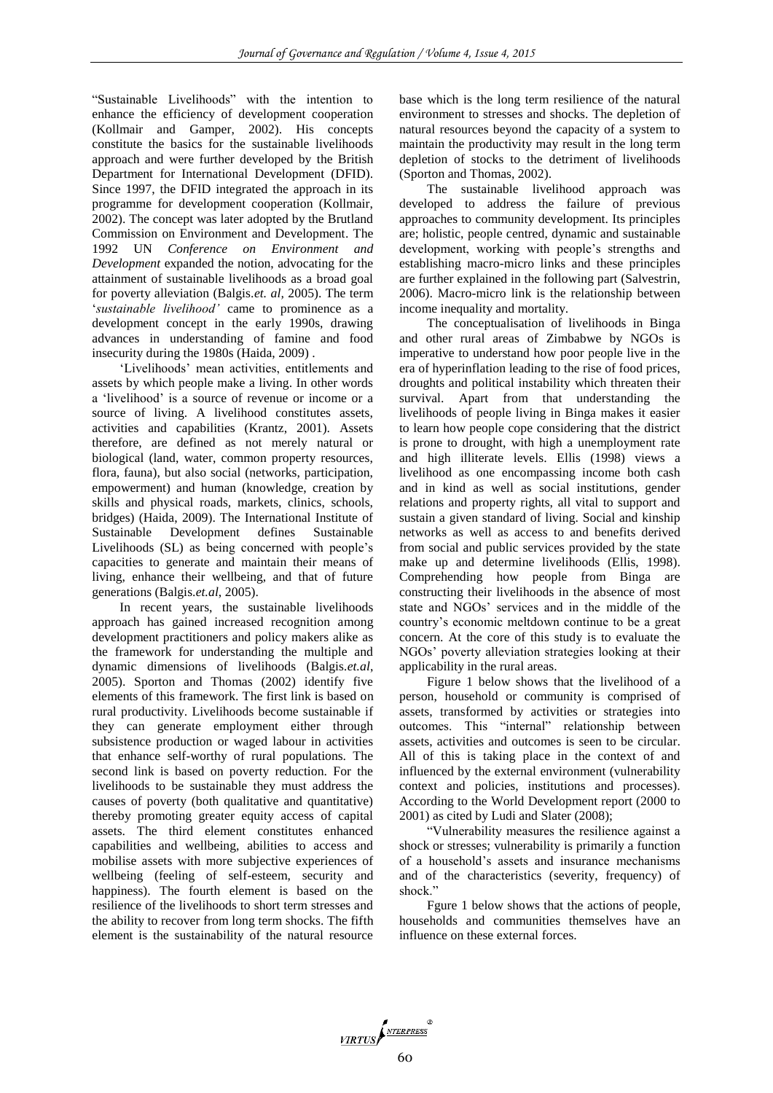"Sustainable Livelihoods" with the intention to enhance the efficiency of development cooperation (Kollmair and Gamper, 2002). His concepts constitute the basics for the sustainable livelihoods approach and were further developed by the British Department for International Development (DFID). Since 1997, the DFID integrated the approach in its programme for development cooperation (Kollmair, 2002). The concept was later adopted by the Brutland Commission on Environment and Development. The 1992 UN *Conference on Environment and Development* expanded the notion, advocating for the attainment of sustainable livelihoods as a broad goal for poverty alleviation (Balgis.*et. al,* 2005). The term '*sustainable livelihood'* came to prominence as a development concept in the early 1990s, drawing advances in understanding of famine and food insecurity during the 1980s (Haida, 2009) .

'Livelihoods' mean activities, entitlements and assets by which people make a living. In other words a 'livelihood' is a source of revenue or income or a source of living. A livelihood constitutes assets, activities and capabilities (Krantz, 2001). Assets therefore, are defined as not merely natural or biological (land, water, common property resources, flora, fauna), but also social (networks, participation, empowerment) and human (knowledge, creation by skills and physical roads, markets, clinics, schools, bridges) (Haida, 2009). The International Institute of Sustainable Development defines Sustainable Livelihoods (SL) as being concerned with people's capacities to generate and maintain their means of living, enhance their wellbeing, and that of future generations (Balgis.*et.al*, 2005).

In recent years, the sustainable livelihoods approach has gained increased recognition among development practitioners and policy makers alike as the framework for understanding the multiple and dynamic dimensions of livelihoods (Balgis*.et.al*, 2005). Sporton and Thomas (2002) identify five elements of this framework. The first link is based on rural productivity. Livelihoods become sustainable if they can generate employment either through subsistence production or waged labour in activities that enhance self-worthy of rural populations. The second link is based on poverty reduction. For the livelihoods to be sustainable they must address the causes of poverty (both qualitative and quantitative) thereby promoting greater equity access of capital assets. The third element constitutes enhanced capabilities and wellbeing, abilities to access and mobilise assets with more subjective experiences of wellbeing (feeling of self-esteem, security and happiness). The fourth element is based on the resilience of the livelihoods to short term stresses and the ability to recover from long term shocks. The fifth element is the sustainability of the natural resource

base which is the long term resilience of the natural environment to stresses and shocks. The depletion of natural resources beyond the capacity of a system to maintain the productivity may result in the long term depletion of stocks to the detriment of livelihoods (Sporton and Thomas, 2002).

The sustainable livelihood approach was developed to address the failure of previous approaches to community development. Its principles are; holistic, people centred, dynamic and sustainable development, working with people's strengths and establishing macro-micro links and these principles are further explained in the following part (Salvestrin, 2006). Macro-micro link is the relationship between income inequality and mortality.

The conceptualisation of livelihoods in Binga and other rural areas of Zimbabwe by NGOs is imperative to understand how poor people live in the era of hyperinflation leading to the rise of food prices, droughts and political instability which threaten their survival. Apart from that understanding the livelihoods of people living in Binga makes it easier to learn how people cope considering that the district is prone to drought, with high a unemployment rate and high illiterate levels. Ellis (1998) views a livelihood as one encompassing income both cash and in kind as well as social institutions, gender relations and property rights, all vital to support and sustain a given standard of living. Social and kinship networks as well as access to and benefits derived from social and public services provided by the state make up and determine livelihoods (Ellis, 1998). Comprehending how people from Binga are constructing their livelihoods in the absence of most state and NGOs' services and in the middle of the country's economic meltdown continue to be a great concern. At the core of this study is to evaluate the NGOs' poverty alleviation strategies looking at their applicability in the rural areas.

Figure 1 below shows that the livelihood of a person, household or community is comprised of assets, transformed by activities or strategies into outcomes. This "internal" relationship between assets, activities and outcomes is seen to be circular. All of this is taking place in the context of and influenced by the external environment (vulnerability context and policies, institutions and processes). According to the World Development report (2000 to 2001) as cited by Ludi and Slater (2008);

"Vulnerability measures the resilience against a shock or stresses; vulnerability is primarily a function of a household's assets and insurance mechanisms and of the characteristics (severity, frequency) of shock."

Fgure 1 below shows that the actions of people, households and communities themselves have an influence on these external forces.

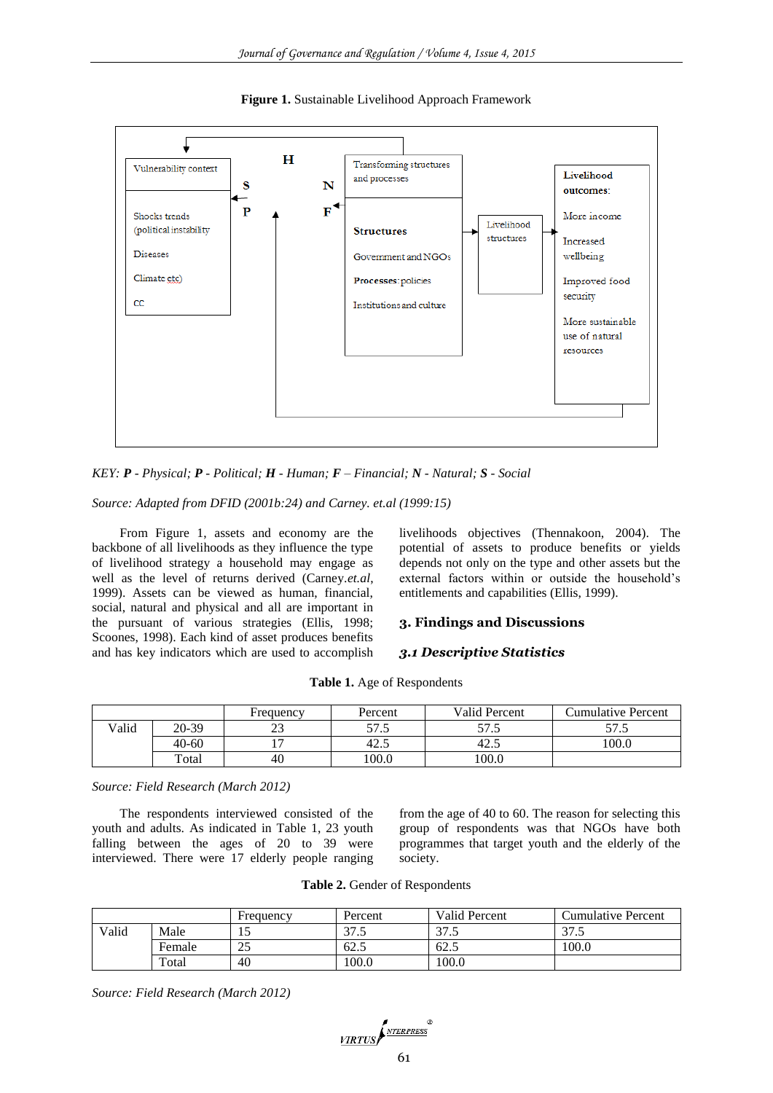

**Figure 1.** Sustainable Livelihood Approach Framework

#### *KEY: P - Physical; P - Political; H - Human; F – Financial; N - Natural; S - Social*

*Source: Adapted from DFID (2001b:24) and Carney. et.al (1999:15)*

From Figure 1, assets and economy are the backbone of all livelihoods as they influence the type of livelihood strategy a household may engage as well as the level of returns derived (Carney.*et.al*, 1999). Assets can be viewed as human, financial, social, natural and physical and all are important in the pursuant of various strategies (Ellis, 1998; Scoones, 1998). Each kind of asset produces benefits and has key indicators which are used to accomplish livelihoods objectives (Thennakoon, 2004). The potential of assets to produce benefits or yields depends not only on the type and other assets but the external factors within or outside the household's entitlements and capabilities (Ellis, 1999).

# **3. Findings and Discussions**

#### *3.1 Descriptive Statistics*

|       |       | Frequency | Percent        | Valid Percent | Cumulative Percent |
|-------|-------|-----------|----------------|---------------|--------------------|
| Valid | 20-39 | ر ر       | 57.5<br>ل. الر | マワ<br>ن ، ر   | -7<br>ر. ، ر       |
|       | 40-60 |           | 42             | 42.           | 100.0              |
|       | Total | 40        | 100.0          | 100.0         |                    |

**Table 1.** Age of Respondents

*Source: Field Research (March 2012)*

The respondents interviewed consisted of the youth and adults. As indicated in Table 1, 23 youth falling between the ages of 20 to 39 were interviewed. There were 17 elderly people ranging

from the age of 40 to 60. The reason for selecting this group of respondents was that NGOs have both programmes that target youth and the elderly of the society.

|       |        | Frequency | Percent          | Valid Percent | Cumulative Percent |
|-------|--------|-----------|------------------|---------------|--------------------|
| Valid | Male   | ⊥ J       | 27<br>. ب<br>ن ، | っっ<br>ر. ، ر  | $\gamma$<br>ل. ا د |
|       | Female | ت         | 62.5             | 62.5          | 100.0              |
|       | Total  | 40        | 100.0            | 100.0         |                    |

*Source: Field Research (March 2012)*

VIRTUS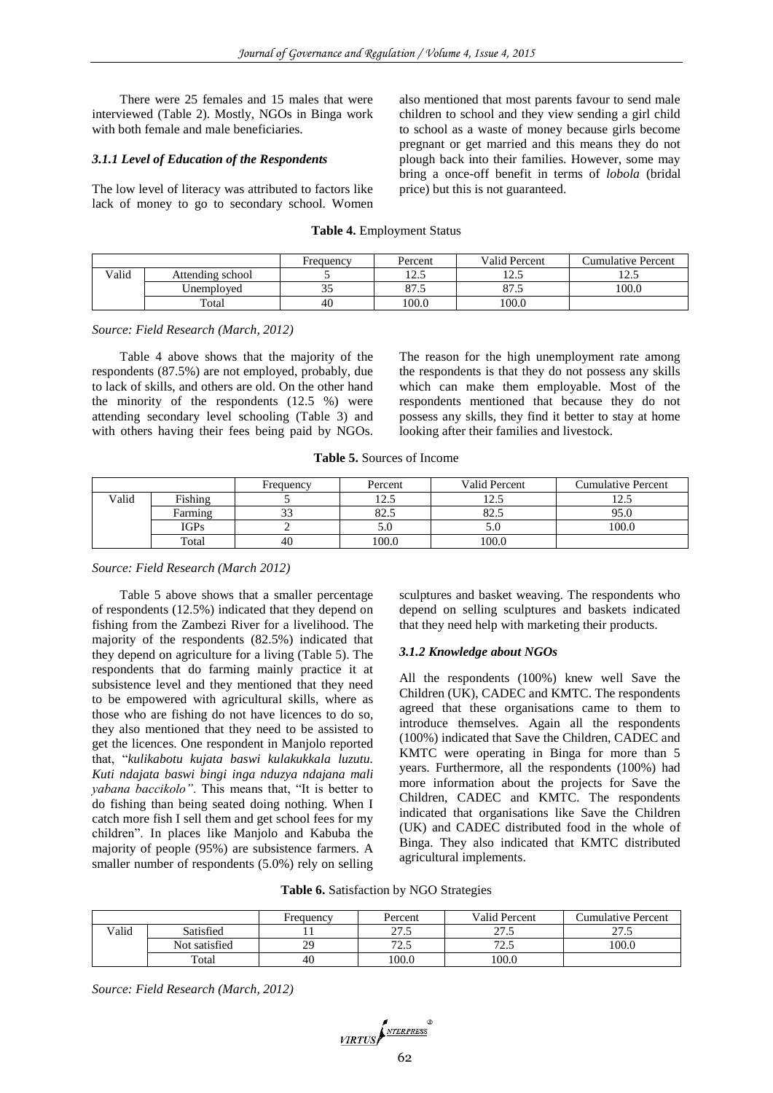There were 25 females and 15 males that were interviewed (Table 2). Mostly, NGOs in Binga work with both female and male beneficiaries.

#### *3.1.1 Level of Education of the Respondents*

The low level of literacy was attributed to factors like lack of money to go to secondary school. Women

also mentioned that most parents favour to send male children to school and they view sending a girl child to school as a waste of money because girls become pregnant or get married and this means they do not plough back into their families. However, some may bring a once-off benefit in terms of *lobola* (bridal price) but this is not guaranteed.

#### **Table 4.** Employment Status

|       |                  | Frequency | Percent            | <b>Valid Percent</b> | Cumulative Percent |
|-------|------------------|-----------|--------------------|----------------------|--------------------|
| Valid | Attending school |           | <i>ם</i> ה<br>ن. د | ن که 1               | ن که 1             |
|       | Unemploved       | ◡         | 87.5               | o / .J               | 100.0              |
|       | Total            | 40        | 100.0              | 100.0                |                    |

*Source: Field Research (March, 2012)*

Table 4 above shows that the majority of the respondents (87.5%) are not employed, probably, due to lack of skills, and others are old. On the other hand the minority of the respondents (12.5 %) were attending secondary level schooling (Table 3) and with others having their fees being paid by NGOs.

The reason for the high unemployment rate among the respondents is that they do not possess any skills which can make them employable. Most of the respondents mentioned that because they do not possess any skills, they find it better to stay at home looking after their families and livestock.

| <b>Table 5.</b> Sources of Income |  |  |  |
|-----------------------------------|--|--|--|
|-----------------------------------|--|--|--|

|       |             | Frequency    | Percent                  | Valid Percent        | <b>Cumulative Percent</b> |
|-------|-------------|--------------|--------------------------|----------------------|---------------------------|
| Valid | Fishing     |              | 12 <sup>7</sup><br>ن د ک | $\bigcap$<br>ن. که 1 | $\sqrt{2}$<br>ن ک         |
|       | Farming     | $\sim$<br>33 | 82.5                     | 82.5                 | 95.0                      |
|       | <b>IGPs</b> |              | 5.U                      | D.U                  | 100.0                     |
|       | Total       | 40           | 100.0                    | 100.0                |                           |

#### *Source: Field Research (March 2012)*

Table 5 above shows that a smaller percentage of respondents (12.5%) indicated that they depend on fishing from the Zambezi River for a livelihood. The majority of the respondents (82.5%) indicated that they depend on agriculture for a living (Table 5). The respondents that do farming mainly practice it at subsistence level and they mentioned that they need to be empowered with agricultural skills, where as those who are fishing do not have licences to do so, they also mentioned that they need to be assisted to get the licences. One respondent in Manjolo reported that, "*kulikabotu kujata baswi kulakukkala luzutu. Kuti ndajata baswi bingi inga nduzya ndajana mali yabana baccikolo"*. This means that, "It is better to do fishing than being seated doing nothing. When I catch more fish I sell them and get school fees for my children". In places like Manjolo and Kabuba the majority of people (95%) are subsistence farmers. A smaller number of respondents (5.0%) rely on selling

sculptures and basket weaving. The respondents who depend on selling sculptures and baskets indicated that they need help with marketing their products.

#### *3.1.2 Knowledge about NGOs*

All the respondents (100%) knew well Save the Children (UK), CADEC and KMTC. The respondents agreed that these organisations came to them to introduce themselves. Again all the respondents (100%) indicated that Save the Children, CADEC and KMTC were operating in Binga for more than 5 years. Furthermore, all the respondents (100%) had more information about the projects for Save the Children, CADEC and KMTC. The respondents indicated that organisations like Save the Children (UK) and CADEC distributed food in the whole of Binga. They also indicated that KMTC distributed agricultural implements.

**Table 6.** Satisfaction by NGO Strategies

|       |               | Frequency | Percent                      | Valid Percent | Cumulative Percent |
|-------|---------------|-----------|------------------------------|---------------|--------------------|
| Valid | Satisfied     |           | $\sim$ $\sim$ $\sim$<br>ن رے | 27c<br>ن ري   | $\sim$<br>ن رے     |
|       | Not satisfied | 29        | $\mathcal{L}$<br>ر…          | 725<br>ر…     | 100.0              |
|       | Total         | 40        | 100.0                        | 100.0         |                    |

*Source: Field Research (March, 2012)*

$$
\underbrace{\textit{VRTUS}} \left( \textit{NTERPRESS}^{\text{R}} \right)
$$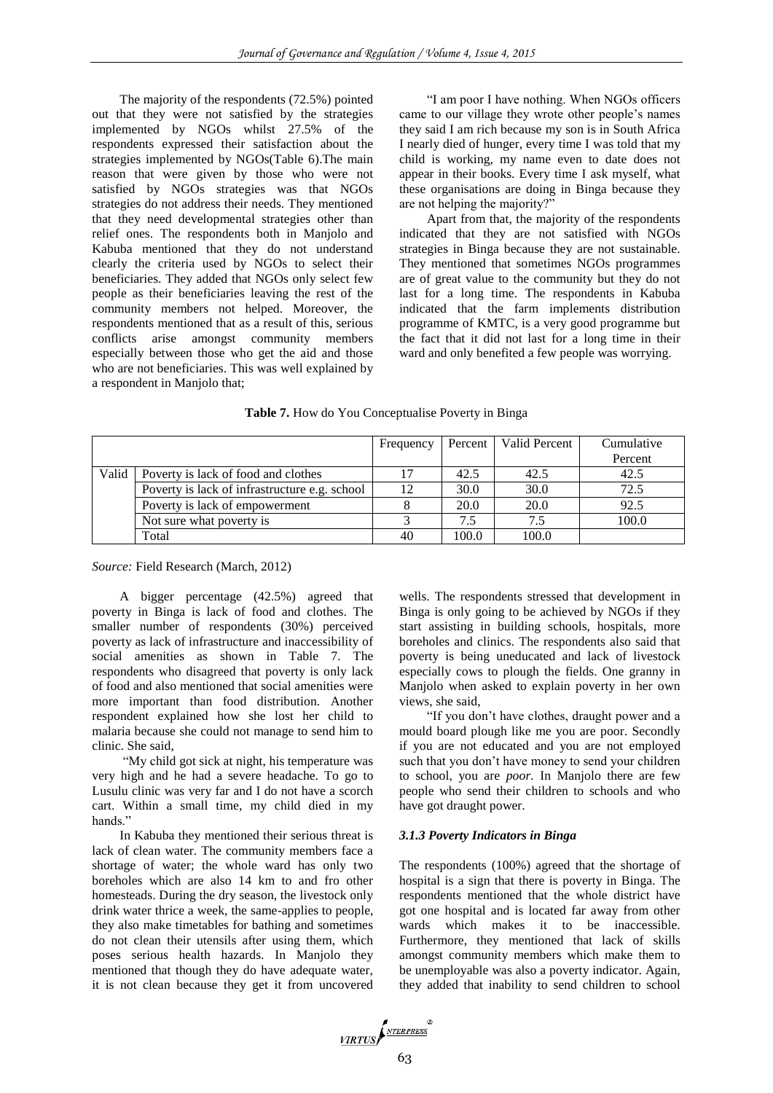The majority of the respondents (72.5%) pointed out that they were not satisfied by the strategies implemented by NGOs whilst 27.5% of the respondents expressed their satisfaction about the strategies implemented by NGOs(Table 6).The main reason that were given by those who were not satisfied by NGOs strategies was that NGOs strategies do not address their needs. They mentioned that they need developmental strategies other than relief ones. The respondents both in Manjolo and Kabuba mentioned that they do not understand clearly the criteria used by NGOs to select their beneficiaries. They added that NGOs only select few people as their beneficiaries leaving the rest of the community members not helped. Moreover, the respondents mentioned that as a result of this, serious conflicts arise amongst community members especially between those who get the aid and those who are not beneficiaries. This was well explained by a respondent in Manjolo that;

"I am poor I have nothing. When NGOs officers came to our village they wrote other people's names they said I am rich because my son is in South Africa I nearly died of hunger, every time I was told that my child is working, my name even to date does not appear in their books. Every time I ask myself, what these organisations are doing in Binga because they are not helping the majority?"

Apart from that, the majority of the respondents indicated that they are not satisfied with NGOs strategies in Binga because they are not sustainable. They mentioned that sometimes NGOs programmes are of great value to the community but they do not last for a long time. The respondents in Kabuba indicated that the farm implements distribution programme of KMTC, is a very good programme but the fact that it did not last for a long time in their ward and only benefited a few people was worrying.

|       |                                               | Frequency |             | Percent   Valid Percent | Cumulative |
|-------|-----------------------------------------------|-----------|-------------|-------------------------|------------|
|       |                                               |           |             |                         | Percent    |
| Valid | Poverty is lack of food and clothes           |           | 42.5        | 42.5                    | 42.5       |
|       | Poverty is lack of infrastructure e.g. school | 12        | 30.0        | 30.0                    | 72.5       |
|       | Poverty is lack of empowerment                |           | <b>20.0</b> | 20.0                    | 92.5       |
|       | Not sure what poverty is                      |           | 7.5         | 7.5                     | 100.0      |
|       | Total                                         | 40        | 100.0       | 100.0                   |            |

**Table 7.** How do You Conceptualise Poverty in Binga

*Source:* Field Research (March, 2012)

A bigger percentage (42.5%) agreed that poverty in Binga is lack of food and clothes. The smaller number of respondents (30%) perceived poverty as lack of infrastructure and inaccessibility of social amenities as shown in Table 7. The respondents who disagreed that poverty is only lack of food and also mentioned that social amenities were more important than food distribution. Another respondent explained how she lost her child to malaria because she could not manage to send him to clinic. She said,

"My child got sick at night, his temperature was very high and he had a severe headache. To go to Lusulu clinic was very far and I do not have a scorch cart. Within a small time, my child died in my hands."

In Kabuba they mentioned their serious threat is lack of clean water. The community members face a shortage of water; the whole ward has only two boreholes which are also 14 km to and fro other homesteads. During the dry season, the livestock only drink water thrice a week, the same-applies to people, they also make timetables for bathing and sometimes do not clean their utensils after using them, which poses serious health hazards. In Manjolo they mentioned that though they do have adequate water, it is not clean because they get it from uncovered

wells. The respondents stressed that development in Binga is only going to be achieved by NGOs if they start assisting in building schools, hospitals, more boreholes and clinics. The respondents also said that poverty is being uneducated and lack of livestock especially cows to plough the fields. One granny in Manjolo when asked to explain poverty in her own views, she said,

"If you don't have clothes, draught power and a mould board plough like me you are poor. Secondly if you are not educated and you are not employed such that you don't have money to send your children to school, you are *poor.* In Manjolo there are few people who send their children to schools and who have got draught power.

## *3.1.3 Poverty Indicators in Binga*

The respondents (100%) agreed that the shortage of hospital is a sign that there is poverty in Binga. The respondents mentioned that the whole district have got one hospital and is located far away from other wards which makes it to be inaccessible. Furthermore, they mentioned that lack of skills amongst community members which make them to be unemployable was also a poverty indicator. Again, they added that inability to send children to school

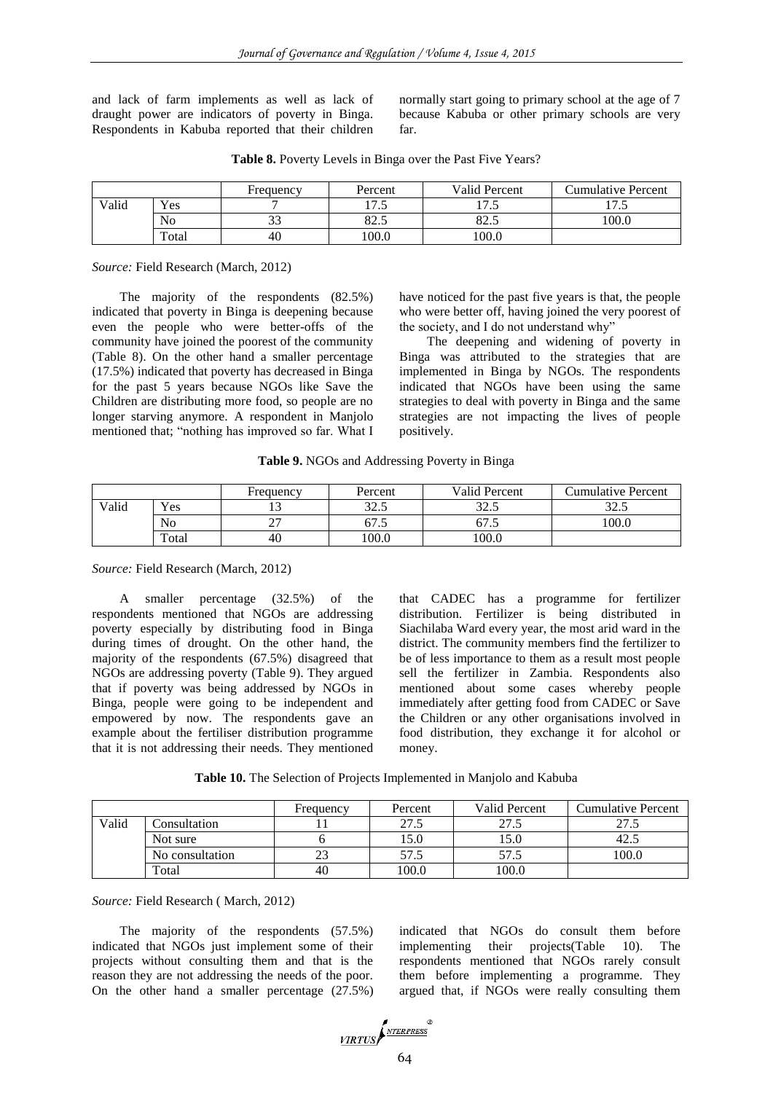and lack of farm implements as well as lack of draught power are indicators of poverty in Binga. Respondents in Kabuba reported that their children

normally start going to primary school at the age of 7 because Kabuba or other primary schools are very far.

|       |                | Frequency | Percent               | Valid Percent          | Cumulative Percent                |
|-------|----------------|-----------|-----------------------|------------------------|-----------------------------------|
| Valid | Yes            |           | $\tau$ $\tau$<br>ر. ا | $\tau$<br>$\cdot\cdot$ | $\overline{\phantom{a}}$<br>ن، تل |
|       | N <sub>o</sub> | ر ر       | ያን ና<br>ں۔۔20         | oኅ<br>ن.∠ه             | 100.0                             |
|       | Total          | 40        | 100.0                 | 100.0                  |                                   |

**Table 8.** Poverty Levels in Binga over the Past Five Years?

*Source:* Field Research (March, 2012)

The majority of the respondents (82.5%) indicated that poverty in Binga is deepening because even the people who were better-offs of the community have joined the poorest of the community (Table 8). On the other hand a smaller percentage (17.5%) indicated that poverty has decreased in Binga for the past 5 years because NGOs like Save the Children are distributing more food, so people are no longer starving anymore. A respondent in Manjolo mentioned that; "nothing has improved so far. What I

have noticed for the past five years is that, the people who were better off, having joined the very poorest of the society, and I do not understand why"

The deepening and widening of poverty in Binga was attributed to the strategies that are implemented in Binga by NGOs. The respondents indicated that NGOs have been using the same strategies to deal with poverty in Binga and the same strategies are not impacting the lives of people positively.

|  | Table 9. NGOs and Addressing Poverty in Binga |  |
|--|-----------------------------------------------|--|
|  |                                               |  |

|       |                | Frequency | Percent         | Valid Percent | <b>Cumulative Percent</b> |
|-------|----------------|-----------|-----------------|---------------|---------------------------|
| Valid | Yes            |           | າາ ເ<br>ل.، ۷ ل | 225<br>ر ۷    | 225<br>ل و کال            |
|       | N <sub>0</sub> |           | 07.J            | 67.5          | 100.0                     |
|       | Total          | 40        | 100.0           | 100.0         |                           |

*Source:* Field Research (March, 2012)

A smaller percentage (32.5%) of the respondents mentioned that NGOs are addressing poverty especially by distributing food in Binga during times of drought. On the other hand, the majority of the respondents (67.5%) disagreed that NGOs are addressing poverty (Table 9). They argued that if poverty was being addressed by NGOs in Binga, people were going to be independent and empowered by now. The respondents gave an example about the fertiliser distribution programme that it is not addressing their needs. They mentioned that CADEC has a programme for fertilizer distribution. Fertilizer is being distributed in Siachilaba Ward every year, the most arid ward in the district. The community members find the fertilizer to be of less importance to them as a result most people sell the fertilizer in Zambia. Respondents also mentioned about some cases whereby people immediately after getting food from CADEC or Save the Children or any other organisations involved in food distribution, they exchange it for alcohol or money.

**Table 10.** The Selection of Projects Implemented in Manjolo and Kabuba

|       |                 | Frequency | Percent | Valid Percent | <b>Cumulative Percent</b> |
|-------|-----------------|-----------|---------|---------------|---------------------------|
| Valid | Consultation    |           | 27.5    | 27.5          | ل د ايم                   |
|       | Not sure        |           | 15.0    | 15.0          | 42.1                      |
|       | No consultation |           | 57.5    | 57.5          | 100.0                     |
|       | Total           | 40        | 100.0   | 100.0         |                           |

*Source:* Field Research ( March, 2012)

The majority of the respondents (57.5%) indicated that NGOs just implement some of their projects without consulting them and that is the reason they are not addressing the needs of the poor. On the other hand a smaller percentage (27.5%)

indicated that NGOs do consult them before implementing their projects(Table 10). The respondents mentioned that NGOs rarely consult them before implementing a programme. They argued that, if NGOs were really consulting them

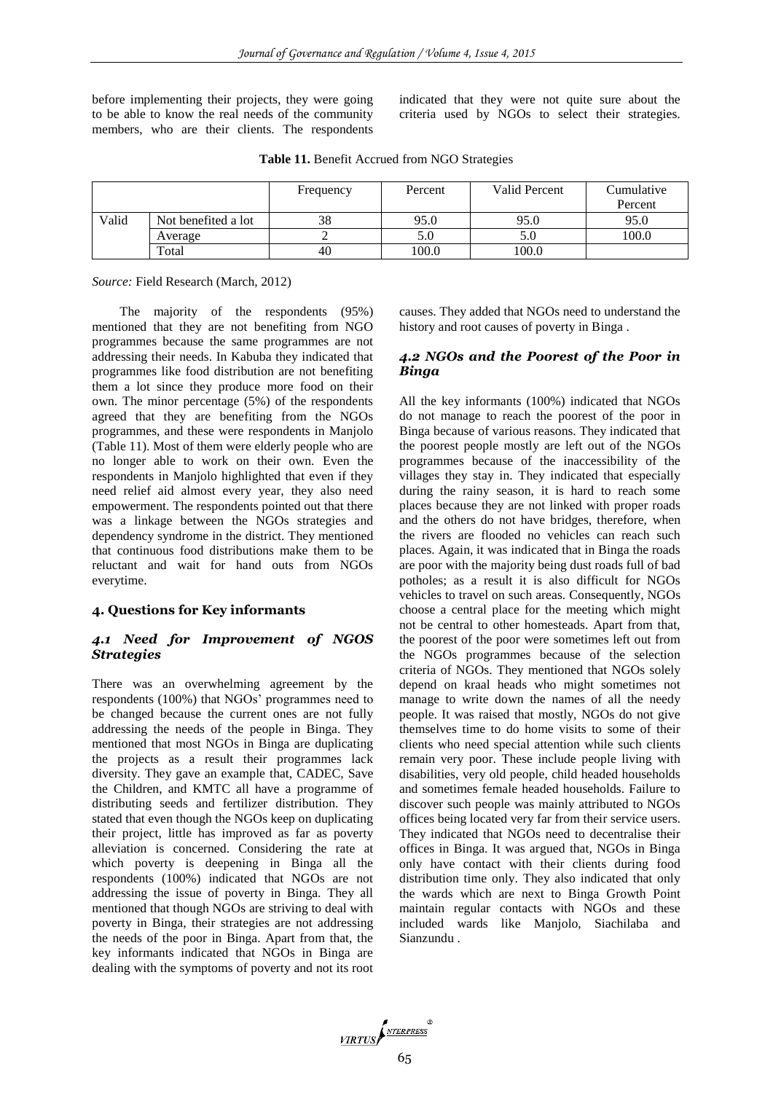before implementing their projects, they were going to be able to know the real needs of the community members, who are their clients. The respondents indicated that they were not quite sure about the criteria used by NGOs to select their strategies.

**Table 11.** Benefit Accrued from NGO Strategies

|       |                     | Frequency | Percent | Valid Percent | Cumulative<br>Percent |
|-------|---------------------|-----------|---------|---------------|-----------------------|
| Valid | Not benefited a lot | 38        | 95.0    | 95.0          | 95.0                  |
|       | Average             |           | 5.0     | 5.0           | 100.0                 |
|       | Total               | 40        | 100.0   | 100.0         |                       |

*Source:* Field Research (March, 2012)

The majority of the respondents (95%) mentioned that they are not benefiting from NGO programmes because the same programmes are not addressing their needs. In Kabuba they indicated that programmes like food distribution are not benefiting them a lot since they produce more food on their own. The minor percentage (5%) of the respondents agreed that they are benefiting from the NGOs programmes, and these were respondents in Manjolo (Table 11). Most of them were elderly people who are no longer able to work on their own. Even the respondents in Manjolo highlighted that even if they need relief aid almost every year, they also need empowerment. The respondents pointed out that there was a linkage between the NGOs strategies and dependency syndrome in the district. They mentioned that continuous food distributions make them to be reluctant and wait for hand outs from NGOs everytime.

#### **4. Questions for Key informants**

#### *4.1 Need for Improvement of NGOS Strategies*

There was an overwhelming agreement by the respondents (100%) that NGOs' programmes need to be changed because the current ones are not fully addressing the needs of the people in Binga. They mentioned that most NGOs in Binga are duplicating the projects as a result their programmes lack diversity. They gave an example that, CADEC, Save the Children, and KMTC all have a programme of distributing seeds and fertilizer distribution. They stated that even though the NGOs keep on duplicating their project, little has improved as far as poverty alleviation is concerned. Considering the rate at which poverty is deepening in Binga all the respondents (100%) indicated that NGOs are not addressing the issue of poverty in Binga. They all mentioned that though NGOs are striving to deal with poverty in Binga, their strategies are not addressing the needs of the poor in Binga. Apart from that, the key informants indicated that NGOs in Binga are dealing with the symptoms of poverty and not its root

causes. They added that NGOs need to understand the history and root causes of poverty in Binga .

## *4.2 NGOs and the Poorest of the Poor in Binga*

All the key informants (100%) indicated that NGOs do not manage to reach the poorest of the poor in Binga because of various reasons. They indicated that the poorest people mostly are left out of the NGOs programmes because of the inaccessibility of the villages they stay in. They indicated that especially during the rainy season, it is hard to reach some places because they are not linked with proper roads and the others do not have bridges, therefore, when the rivers are flooded no vehicles can reach such places. Again, it was indicated that in Binga the roads are poor with the majority being dust roads full of bad potholes; as a result it is also difficult for NGOs vehicles to travel on such areas. Consequently, NGOs choose a central place for the meeting which might not be central to other homesteads. Apart from that, the poorest of the poor were sometimes left out from the NGOs programmes because of the selection criteria of NGOs. They mentioned that NGOs solely depend on kraal heads who might sometimes not manage to write down the names of all the needy people. It was raised that mostly, NGOs do not give themselves time to do home visits to some of their clients who need special attention while such clients remain very poor. These include people living with disabilities, very old people, child headed households and sometimes female headed households. Failure to discover such people was mainly attributed to NGOs offices being located very far from their service users. They indicated that NGOs need to decentralise their offices in Binga. It was argued that, NGOs in Binga only have contact with their clients during food distribution time only. They also indicated that only the wards which are next to Binga Growth Point maintain regular contacts with NGOs and these included wards like Manjolo, Siachilaba and Sianzundu .

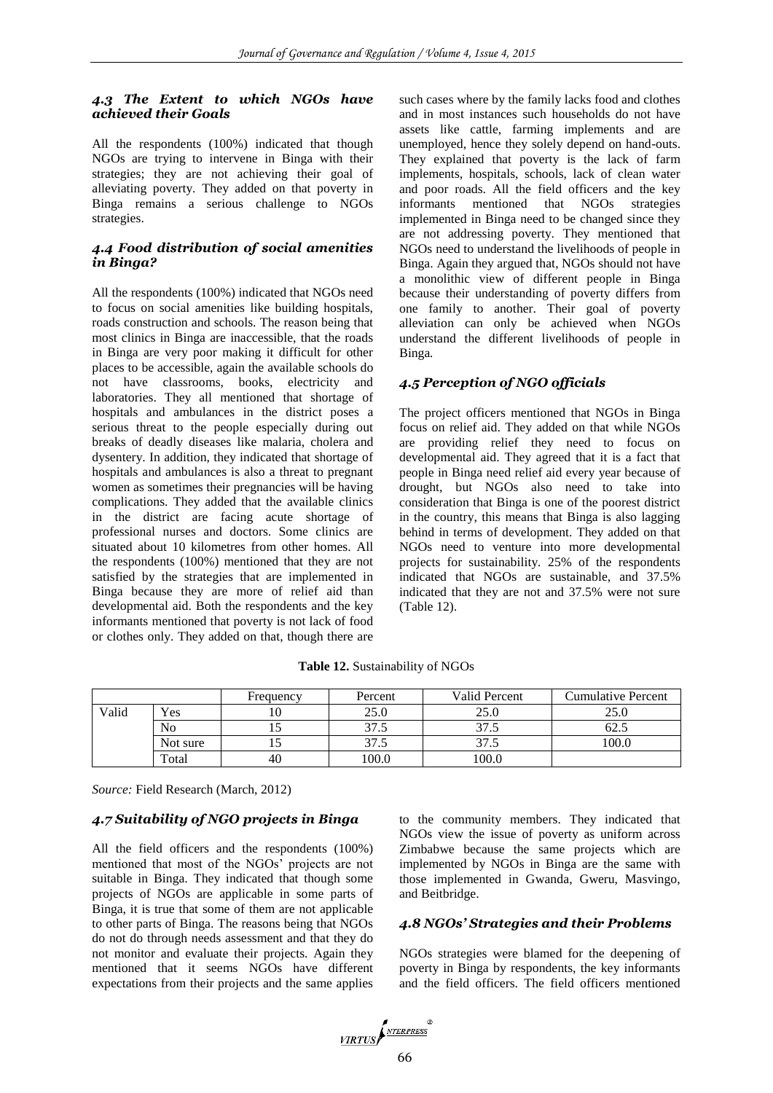# *4.3 The Extent to which NGOs have achieved their Goals*

All the respondents (100%) indicated that though NGOs are trying to intervene in Binga with their strategies; they are not achieving their goal of alleviating poverty. They added on that poverty in Binga remains a serious challenge to NGOs strategies.

## *4.4 Food distribution of social amenities in Binga?*

All the respondents (100%) indicated that NGOs need to focus on social amenities like building hospitals, roads construction and schools. The reason being that most clinics in Binga are inaccessible, that the roads in Binga are very poor making it difficult for other places to be accessible, again the available schools do not have classrooms, books, electricity and laboratories. They all mentioned that shortage of hospitals and ambulances in the district poses a serious threat to the people especially during out breaks of deadly diseases like malaria, cholera and dysentery. In addition, they indicated that shortage of hospitals and ambulances is also a threat to pregnant women as sometimes their pregnancies will be having complications. They added that the available clinics in the district are facing acute shortage of professional nurses and doctors. Some clinics are situated about 10 kilometres from other homes. All the respondents (100%) mentioned that they are not satisfied by the strategies that are implemented in Binga because they are more of relief aid than developmental aid. Both the respondents and the key informants mentioned that poverty is not lack of food or clothes only. They added on that, though there are

such cases where by the family lacks food and clothes and in most instances such households do not have assets like cattle, farming implements and are unemployed, hence they solely depend on hand-outs. They explained that poverty is the lack of farm implements, hospitals, schools, lack of clean water and poor roads. All the field officers and the key informants mentioned that NGOs strategies implemented in Binga need to be changed since they are not addressing poverty. They mentioned that NGOs need to understand the livelihoods of people in Binga. Again they argued that, NGOs should not have a monolithic view of different people in Binga because their understanding of poverty differs from one family to another. Their goal of poverty alleviation can only be achieved when NGOs understand the different livelihoods of people in Binga*.*

# *4.5 Perception of NGO officials*

The project officers mentioned that NGOs in Binga focus on relief aid. They added on that while NGOs are providing relief they need to focus on developmental aid. They agreed that it is a fact that people in Binga need relief aid every year because of drought, but NGOs also need to take into consideration that Binga is one of the poorest district in the country, this means that Binga is also lagging behind in terms of development. They added on that NGOs need to venture into more developmental projects for sustainability*.* 25% of the respondents indicated that NGOs are sustainable, and 37.5% indicated that they are not and 37.5% were not sure (Table 12).

|       |          | Frequency | Percent | Valid Percent | Cumulative Percent |
|-------|----------|-----------|---------|---------------|--------------------|
| Valid | Yes      |           | 25.0    | 25.0          | ንና በ<br>29.U       |
|       | No       |           | 37.5    | 37.5          | 62                 |
|       | Not sure |           | 37.5    | 37.5          | 100.0              |
|       | Total    | 40        | 100.0   | 100.0         |                    |

**Table 12.** Sustainability of NGOs

*Source:* Field Research (March, 2012)

# *4.7 Suitability of NGO projects in Binga*

All the field officers and the respondents (100%) mentioned that most of the NGOs' projects are not suitable in Binga. They indicated that though some projects of NGOs are applicable in some parts of Binga, it is true that some of them are not applicable to other parts of Binga. The reasons being that NGOs do not do through needs assessment and that they do not monitor and evaluate their projects. Again they mentioned that it seems NGOs have different expectations from their projects and the same applies

to the community members. They indicated that NGOs view the issue of poverty as uniform across Zimbabwe because the same projects which are implemented by NGOs in Binga are the same with those implemented in Gwanda, Gweru, Masvingo, and Beitbridge.

## *4.8 NGOs' Strategies and their Problems*

NGOs strategies were blamed for the deepening of poverty in Binga by respondents, the key informants and the field officers. The field officers mentioned

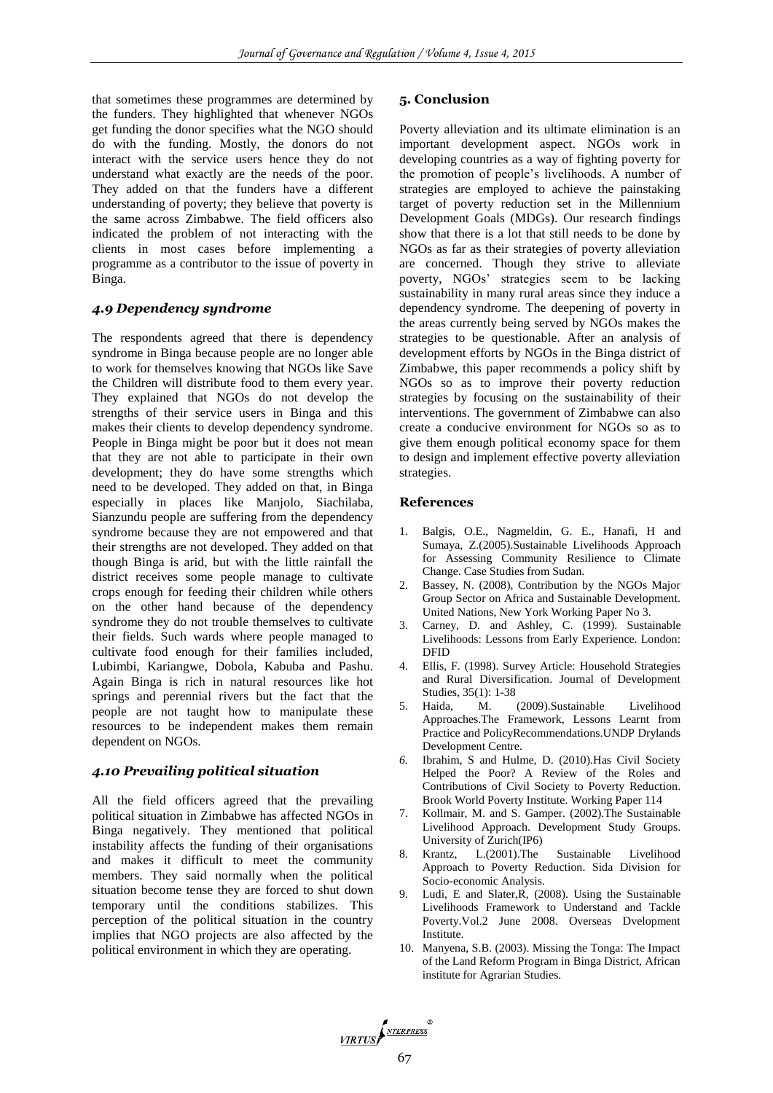that sometimes these programmes are determined by the funders. They highlighted that whenever NGOs get funding the donor specifies what the NGO should do with the funding. Mostly, the donors do not interact with the service users hence they do not understand what exactly are the needs of the poor. They added on that the funders have a different understanding of poverty; they believe that poverty is the same across Zimbabwe. The field officers also indicated the problem of not interacting with the clients in most cases before implementing a programme as a contributor to the issue of poverty in Binga.

## *4.9 Dependency syndrome*

The respondents agreed that there is dependency syndrome in Binga because people are no longer able to work for themselves knowing that NGOs like Save the Children will distribute food to them every year. They explained that NGOs do not develop the strengths of their service users in Binga and this makes their clients to develop dependency syndrome. People in Binga might be poor but it does not mean that they are not able to participate in their own development; they do have some strengths which need to be developed. They added on that, in Binga especially in places like Manjolo, Siachilaba, Sianzundu people are suffering from the dependency syndrome because they are not empowered and that their strengths are not developed. They added on that though Binga is arid, but with the little rainfall the district receives some people manage to cultivate crops enough for feeding their children while others on the other hand because of the dependency syndrome they do not trouble themselves to cultivate their fields. Such wards where people managed to cultivate food enough for their families included, Lubimbi, Kariangwe, Dobola, Kabuba and Pashu. Again Binga is rich in natural resources like hot springs and perennial rivers but the fact that the people are not taught how to manipulate these resources to be independent makes them remain dependent on NGOs.

## *4.10 Prevailing political situation*

All the field officers agreed that the prevailing political situation in Zimbabwe has affected NGOs in Binga negatively. They mentioned that political instability affects the funding of their organisations and makes it difficult to meet the community members. They said normally when the political situation become tense they are forced to shut down temporary until the conditions stabilizes. This perception of the political situation in the country implies that NGO projects are also affected by the political environment in which they are operating.

## **5. Conclusion**

Poverty alleviation and its ultimate elimination is an important development aspect. NGOs work in developing countries as a way of fighting poverty for the promotion of people's livelihoods. A number of strategies are employed to achieve the painstaking target of poverty reduction set in the Millennium Development Goals (MDGs). Our research findings show that there is a lot that still needs to be done by NGOs as far as their strategies of poverty alleviation are concerned. Though they strive to alleviate poverty, NGOs' strategies seem to be lacking sustainability in many rural areas since they induce a dependency syndrome. The deepening of poverty in the areas currently being served by NGOs makes the strategies to be questionable. After an analysis of development efforts by NGOs in the Binga district of Zimbabwe, this paper recommends a policy shift by NGOs so as to improve their poverty reduction strategies by focusing on the sustainability of their interventions. The government of Zimbabwe can also create a conducive environment for NGOs so as to give them enough political economy space for them to design and implement effective poverty alleviation strategies.

## **References**

- 1. Balgis, O.E., Nagmeldin, G. E., Hanafi, H and Sumaya, Z.(2005).Sustainable Livelihoods Approach for Assessing Community Resilience to Climate Change. Case Studies from Sudan.
- 2. Bassey, N. (2008), Contribution by the NGOs Major Group Sector on Africa and Sustainable Development. United Nations, New York Working Paper No 3.
- Carney, D. and Ashley, C. (1999). Sustainable Livelihoods: Lessons from Early Experience. London: DFID
- 4. Ellis, F. (1998). Survey Article: Household Strategies and Rural Diversification. Journal of Development Studies, 35(1): 1-38
- 5. Haida, M. (2009).Sustainable Livelihood Approaches.The Framework, Lessons Learnt from Practice and PolicyRecommendations.UNDP Drylands Development Centre.
- *6.* Ibrahim, S and Hulme, D. (2010).Has Civil Society Helped the Poor? A Review of the Roles and Contributions of Civil Society to Poverty Reduction. Brook World Poverty Institute. Working Paper 114
- 7. Kollmair, M. and S. Gamper. (2002).The Sustainable Livelihood Approach. Development Study Groups. University of Zurich(IP6)
- 8. Krantz, L.(2001).The Sustainable Livelihood Approach to Poverty Reduction. Sida Division for Socio-economic Analysis.
- 9. Ludi, E and Slater,R, (2008). Using the Sustainable Livelihoods Framework to Understand and Tackle Poverty.Vol.2 June 2008. Overseas Dvelopment Institute.
- 10. Manyena, S.B. (2003). Missing the Tonga: The Impact of the Land Reform Program in Binga District, African institute for Agrarian Studies.